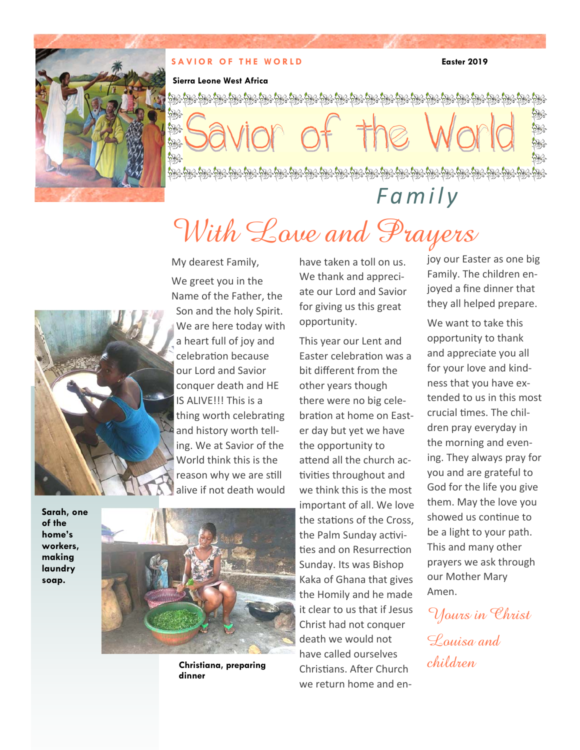

### **SAVIOR OF THE WORLD Easter 2019**

### **Sierra Leone West Africa**

※ ₩

 $\mathbb{S}$  $\mathcal{B} \geq \mathcal{B}$ 

*Family*

# With Love and Prayers



My dearest Family, We greet you in the Name of the Father, the Son and the holy Spirit. We are here today with a heart full of joy and celebration because our Lord and Savior conquer death and HE IS ALIVE!!! This is a thing worth celebrating and history worth telling. We at Savior of the World think this is the reason why we are still alive if not death would

**Sarah, one of the home's workers, making laundry soap.** 



**Christiana, preparing dinner** 

have taken a toll on us. We thank and appreciate our Lord and Savior for giving us this great opportunity.

This year our Lent and Easter celebraƟon was a bit different from the other years though there were no big celebration at home on Easter day but yet we have the opportunity to attend all the church activities throughout and we think this is the most important of all. We love the stations of the Cross. the Palm Sunday activities and on Resurrection Sunday. Its was Bishop Kaka of Ghana that gives the Homily and he made it clear to us that if Jesus Christ had not conquer death we would not have called ourselves Christians. After Church we return home and enjoy our Easter as one big Family. The children enjoyed a fine dinner that they all helped prepare.

We want to take this opportunity to thank and appreciate you all for your love and kindness that you have extended to us in this most crucial times. The children pray everyday in the morning and evening. They always pray for you and are grateful to God for the life you give them. May the love you showed us continue to be a light to your path. This and many other prayers we ask through our Mother Mary Amen.

Yours in Christ Louisa and children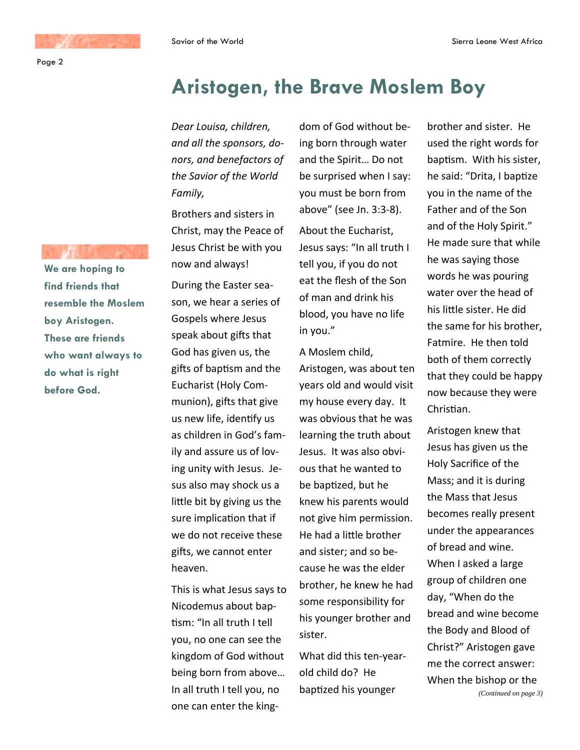**We are hoping to find friends that resemble the Moslem boy Aristogen. These are friends who want always to do what is right before God.** 

## **Aristogen, the Brave Moslem Boy**

*Dear Louisa, children, and all the sponsors, donors, and benefactors of the Savior of the World Family,*

Brothers and sisters in Christ, may the Peace of Jesus Christ be with you now and always!

During the Easter season, we hear a series of Gospels where Jesus speak about gifts that God has given us, the gifts of baptism and the Eucharist (Holy Communion), gifts that give us new life, identify us as children in God's family and assure us of loving unity with Jesus. Jesus also may shock us a little bit by giving us the sure implication that if we do not receive these gifts, we cannot enter heaven.

This is what Jesus says to Nicodemus about baptism: "In all truth I tell you, no one can see the kingdom of God without being born from above… In all truth I tell you, no one can enter the kingdom of God without being born through water and the Spirit… Do not be surprised when I say: you must be born from above" (see Jn. 3:3-8).

About the Eucharist, Jesus says: "In all truth I tell you, if you do not eat the flesh of the Son of man and drink his blood, you have no life in you."

A Moslem child, Aristogen, was about ten years old and would visit my house every day. It was obvious that he was learning the truth about Jesus. It was also obvious that he wanted to be baptized, but he knew his parents would not give him permission. He had a little brother and sister; and so because he was the elder brother, he knew he had some responsibility for his younger brother and sister.

What did this ten-yearold child do? He baptized his younger

brother and sister. He used the right words for baptism. With his sister, he said: "Drita, I baptize you in the name of the Father and of the Son and of the Holy Spirit." He made sure that while he was saying those words he was pouring water over the head of his little sister. He did the same for his brother, Fatmire. He then told both of them correctly that they could be happy now because they were Christian.

Aristogen knew that Jesus has given us the Holy Sacrifice of the Mass; and it is during the Mass that Jesus becomes really present under the appearances of bread and wine. When I asked a large group of children one day, "When do the bread and wine become the Body and Blood of Christ?" Aristogen gave me the correct answer: When the bishop or the *(Continued on page 3)*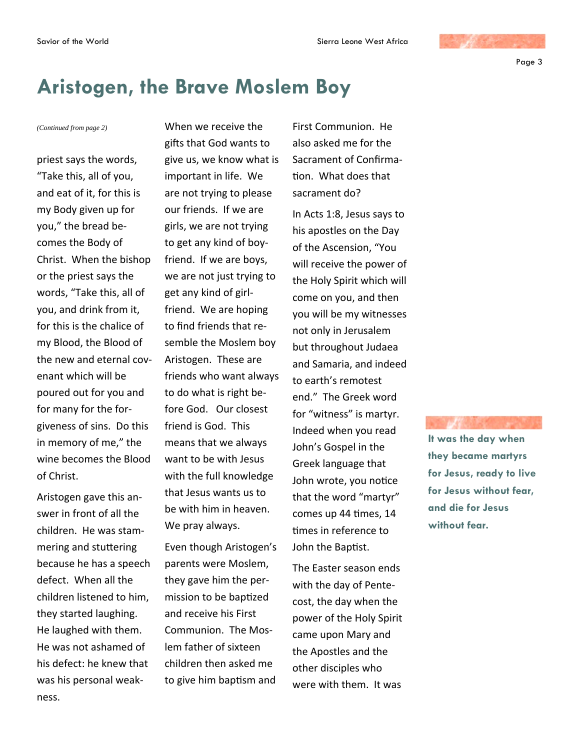Page 3

# **Aristogen, the Brave Moslem Boy**

priest says the words, "Take this, all of you, and eat of it, for this is my Body given up for you," the bread becomes the Body of Christ. When the bishop or the priest says the words, "Take this, all of you, and drink from it, for this is the chalice of my Blood, the Blood of the new and eternal covenant which will be poured out for you and for many for the forgiveness of sins. Do this in memory of me," the wine becomes the Blood of Christ.

Aristogen gave this answer in front of all the children. He was stammering and stuttering because he has a speech defect. When all the children listened to him, they started laughing. He laughed with them. He was not ashamed of his defect: he knew that was his personal weakness.

*(Continued from page 2)* When we receive the gifts that God wants to give us, we know what is important in life. We are not trying to please our friends. If we are girls, we are not trying to get any kind of boyfriend. If we are boys, we are not just trying to get any kind of girlfriend. We are hoping to find friends that resemble the Moslem boy Aristogen. These are friends who want always to do what is right before God. Our closest friend is God. This means that we always want to be with Jesus with the full knowledge that Jesus wants us to be with him in heaven. We pray always.

> Even though Aristogen's parents were Moslem, they gave him the permission to be bapƟzed and receive his First Communion. The Moslem father of sixteen children then asked me to give him baptism and

First Communion. He also asked me for the Sacrament of Confirma-Ɵon. What does that sacrament do?

In Acts 1:8, Jesus says to his apostles on the Day of the Ascension, "You will receive the power of the Holy Spirit which will come on you, and then you will be my witnesses not only in Jerusalem but throughout Judaea and Samaria, and indeed to earth's remotest end." The Greek word for "witness" is martyr. Indeed when you read John's Gospel in the Greek language that John wrote, you notice that the word "martyr" comes up 44 Ɵmes, 14 times in reference to John the Baptist.

The Easter season ends with the day of Pentecost, the day when the power of the Holy Spirit came upon Mary and the Apostles and the other disciples who were with them. It was

**It was the day when they became martyrs for Jesus, ready to live for Jesus without fear, and die for Jesus without fear.**